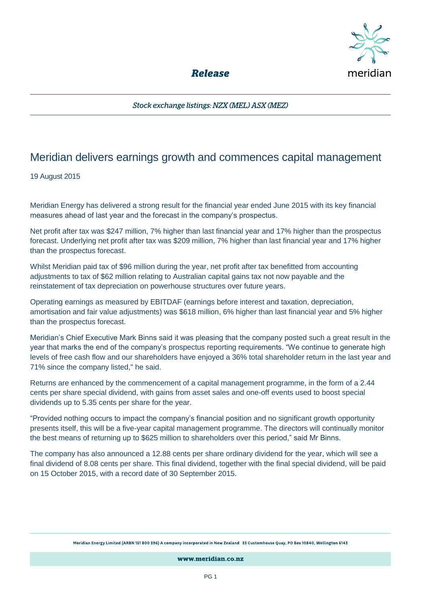

**Release** 

Stock exchange listings: NZX (MEL) ASX (MEZ)

# Meridian delivers earnings growth and commences capital management

## 19 August 2015

Meridian Energy has delivered a strong result for the financial year ended June 2015 with its key financial measures ahead of last year and the forecast in the company's prospectus.

Net profit after tax was \$247 million, 7% higher than last financial year and 17% higher than the prospectus forecast. Underlying net profit after tax was \$209 million, 7% higher than last financial year and 17% higher than the prospectus forecast.

Whilst Meridian paid tax of \$96 million during the year, net profit after tax benefitted from accounting adjustments to tax of \$62 million relating to Australian capital gains tax not now payable and the reinstatement of tax depreciation on powerhouse structures over future years.

Operating earnings as measured by EBITDAF (earnings before interest and taxation, depreciation, amortisation and fair value adjustments) was \$618 million, 6% higher than last financial year and 5% higher than the prospectus forecast.

Meridian's Chief Executive Mark Binns said it was pleasing that the company posted such a great result in the year that marks the end of the company's prospectus reporting requirements. "We continue to generate high levels of free cash flow and our shareholders have enjoyed a 36% total shareholder return in the last year and 71% since the company listed," he said.

Returns are enhanced by the commencement of a capital management programme, in the form of a 2.44 cents per share special dividend, with gains from asset sales and one-off events used to boost special dividends up to 5.35 cents per share for the year.

"Provided nothing occurs to impact the company's financial position and no significant growth opportunity presents itself, this will be a five-year capital management programme. The directors will continually monitor the best means of returning up to \$625 million to shareholders over this period," said Mr Binns.

The company has also announced a 12.88 cents per share ordinary dividend for the year, which will see a final dividend of 8.08 cents per share. This final dividend, together with the final special dividend, will be paid on 15 October 2015, with a record date of 30 September 2015.

Meridian Energy Limited (ARBN 151 800 396) A company incorporated in New Zealand 33 Customhouse Quay, PO Box 10840, Wellington 6143